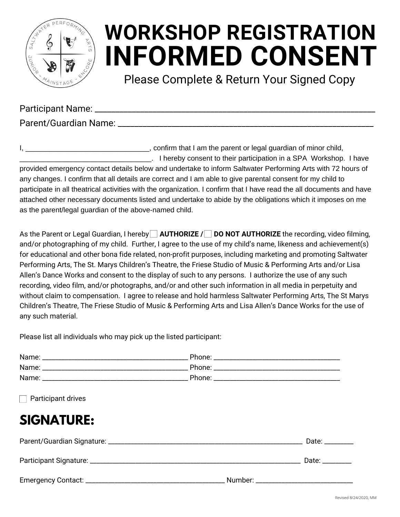

# **INFORMED CONSENT WORKSHOP REGISTRATION**

Please Complete & Return Your Signed Copy

Participant Name: **Example 20** 

Parent/Guardian Name: **Example 2018** 

I, **I** am the parent or legal guardian of minor child, \_\_\_\_\_\_\_\_\_\_\_\_\_\_\_\_\_\_\_\_\_\_\_\_\_\_\_\_\_\_\_\_\_. I hereby consent to their participation in a SPA Workshop. I have provided emergency contact details below and undertake to inform Saltwater Performing Arts with 72 hours of any changes. I confirm that all details are correct and I am able to give parental consent for my child to participate in all theatrical activities with the organization. I confirm that I have read the all documents and have attached other necessary documents listed and undertake to abide by the obligations which it imposes on me as the parent/legal guardian of the above-named child.

As the Parent or Legal Guardian, I hereby **AUTHORIZE / DO NOT AUTHORIZE** the recording, video filming, and/or photographing of my child. Further, I agree to the use of my child's name, likeness and achievement(s) for educational and other bona fide related, non-profit purposes, including marketing and promoting Saltwater Performing Arts, The St. Marys Children's Theatre, the Friese Studio of Music & Performing Arts and/or Lisa Allen's Dance Works and consent to the display of such to any persons. I authorize the use of any such recording, video film, and/or photographs, and/or and other such information in all media in perpetuity and without claim to compensation. I agree to release and hold harmless Saltwater Performing Arts, The St Marys Children's Theatre, The Friese Studio of Music & Performing Arts and Lisa Allen's Dance Works for the use of any such material.

Please list all individuals who may pick up the listed participant:

| $\Box$ Participant drives |  |
|---------------------------|--|

## **SIGNATURE:**

| Participant Signature: _ |         | Date: _________ |
|--------------------------|---------|-----------------|
|                          | Number: |                 |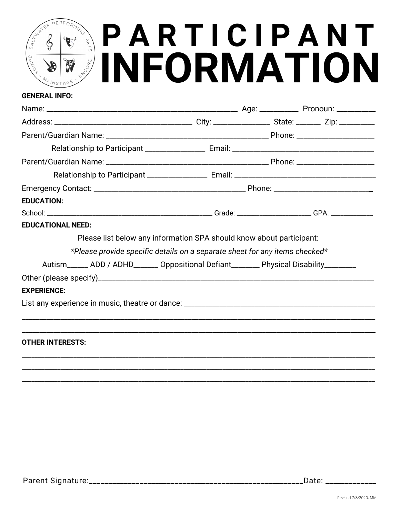## PERFORMING **PARTICIPANT**<br>INFORMATION  $E^R$  $\frac{1}{2}$  $\frac{1}{2} \phi_{\rm C}$

#### **GENERAL INFO:**

| <b>EDUCATION:</b>                                                                           |  |  |
|---------------------------------------------------------------------------------------------|--|--|
|                                                                                             |  |  |
| <b>EDUCATIONAL NEED:</b>                                                                    |  |  |
| Please list below any information SPA should know about participant:                        |  |  |
| *Please provide specific details on a separate sheet for any items checked*                 |  |  |
| Autism_______ ADD / ADHD________ Oppositional Defiant________ Physical Disability__________ |  |  |
|                                                                                             |  |  |
| <b>EXPERIENCE:</b>                                                                          |  |  |
|                                                                                             |  |  |
|                                                                                             |  |  |
|                                                                                             |  |  |
| <b>OTHER INTERESTS:</b>                                                                     |  |  |
|                                                                                             |  |  |
|                                                                                             |  |  |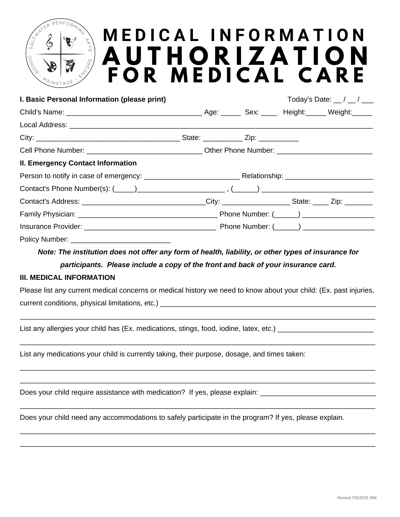## PERFOR **M E D I C A L I N F O R M A T I O N A U T H O R I Z A T I O N F O R M E D I C A L C A R E**

| I. Basic Personal Information (please print)                                                                      |  | Today's Date: $\frac{\ }{\ }$ / $\frac{\ }{\ }$ |
|-------------------------------------------------------------------------------------------------------------------|--|-------------------------------------------------|
|                                                                                                                   |  |                                                 |
|                                                                                                                   |  |                                                 |
|                                                                                                                   |  |                                                 |
|                                                                                                                   |  |                                                 |
| <b>II. Emergency Contact Information</b>                                                                          |  |                                                 |
|                                                                                                                   |  |                                                 |
|                                                                                                                   |  |                                                 |
| Contact's Address: _________________________________City: ______________________State: _____ Zip: ________        |  |                                                 |
|                                                                                                                   |  |                                                 |
|                                                                                                                   |  |                                                 |
|                                                                                                                   |  |                                                 |
| Note: The institution does not offer any form of health, liability, or other types of insurance for               |  |                                                 |
| participants. Please include a copy of the front and back of your insurance card.                                 |  |                                                 |
| <b>III. MEDICAL INFORMATION</b>                                                                                   |  |                                                 |
| Please list any current medical concerns or medical history we need to know about your child: (Ex. past injuries, |  |                                                 |
|                                                                                                                   |  |                                                 |
|                                                                                                                   |  |                                                 |
| List any allergies your child has (Ex. medications, stings, food, iodine, latex, etc.)                            |  |                                                 |
|                                                                                                                   |  |                                                 |

List any medications your child is currently taking, their purpose, dosage, and times taken:

Does your child require assistance with medication? If yes, please explain:

ER

Does your child need any accommodations to safely participate in the program? If yes, please explain.

 $\_$  , and the set of the set of the set of the set of the set of the set of the set of the set of the set of the set of the set of the set of the set of the set of the set of the set of the set of the set of the set of th  $\_$  , and the contribution of the contribution of the contribution of the contribution of the contribution of the contribution of the contribution of the contribution of the contribution of the contribution of the contrib

 $\_$  , and the contribution of the contribution of the contribution of the contribution of the contribution of the contribution of the contribution of the contribution of the contribution of the contribution of the contrib

 $\_$  , and the contribution of the contribution of the contribution of the contribution of the contribution of the contribution of the contribution of the contribution of the contribution of the contribution of the contrib  $\_$  , and the contribution of the contribution of the contribution of the contribution of the contribution of the contribution of the contribution of the contribution of the contribution of the contribution of the contrib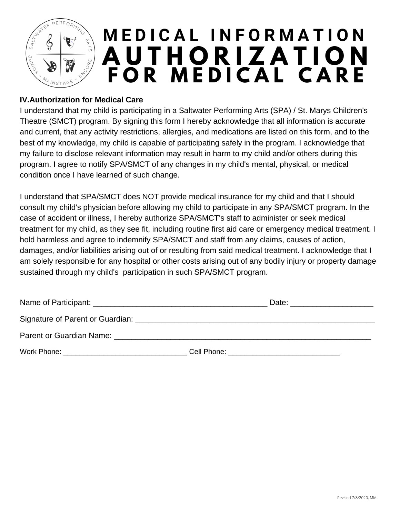

#### **IV.Authorization for Medical Care**

I understand that my child is participating in a Saltwater Performing Arts (SPA) / St. Marys Children's Theatre (SMCT) program. By signing this form I hereby acknowledge that all information is accurate and current, that any activity restrictions, allergies, and medications are listed on this form, and to the best of my knowledge, my child is capable of participating safely in the program. I acknowledge that my failure to disclose relevant information may result in harm to my child and/or others during this program. I agree to notify SPA/SMCT of any changes in my child's mental, physical, or medical condition once I have learned of such change.

I understand that SPA/SMCT does NOT provide medical insurance for my child and that I should consult my child's physician before allowing my child to participate in any SPA/SMCT program. In the case of accident or illness, I hereby authorize SPA/SMCT's staff to administer or seek medical treatment for my child, as they see fit, including routine first aid care or emergency medical treatment. I hold harmless and agree to indemnify SPA/SMCT and staff from any claims, causes of action, damages, and/or liabilities arising out of or resulting from said medical treatment. I acknowledge that I am solely responsible for any hospital or other costs arising out of any bodily injury or property damage sustained through my child's participation in such SPA/SMCT program.

|                                  | Date:       |
|----------------------------------|-------------|
| Signature of Parent or Guardian: |             |
| Parent or Guardian Name:         |             |
| Work Phone:                      | Cell Phone: |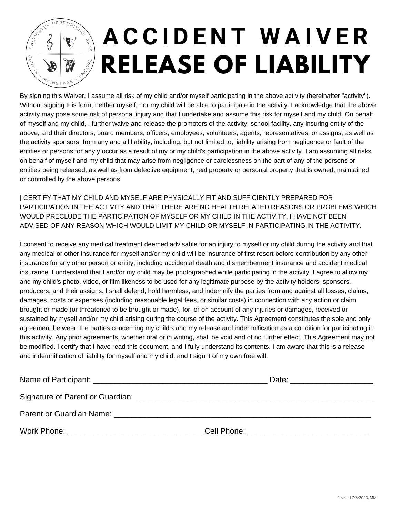

# **A C C I D E N T W A I V E R RELEASE OF LIABILITY**

By signing this Waiver, I assume all risk of my child and/or myself participating in the above activity (hereinafter "activity"). Without signing this form, neither myself, nor my child will be able to participate in the activity. I acknowledge that the above activity may pose some risk of personal injury and that I undertake and assume this risk for myself and my child. On behalf of myself and my child, I further waive and release the promoters of the activity, school facility, any insuring entity of the above, and their directors, board members, officers, employees, volunteers, agents, representatives, or assigns, as well as the activity sponsors, from any and all liability, including, but not limited to, liability arising from negligence or fault of the entities or persons for any y occur as a result of my or my child's participation in the above activity. I am assuming all risks on behalf of myself and my child that may arise from negligence or carelessness on the part of any of the persons or entities being released, as well as from defective equipment, real property or personal property that is owned, maintained or controlled by the above persons.

| CERTIFY THAT MY CHILD AND MYSELF ARE PHYSICALLY FIT AND SUFFICIENTLY PREPARED FOR PARTICIPATION IN THE ACTIVITY AND THAT THERE ARE NO HEALTH RELATED REASONS OR PROBLEMS WHICH WOULD PRECLUDE THE PARTICIPATION OF MYSELF OR MY CHILD IN THE ACTIVITY. I HAVE NOT BEEN ADVISED OF ANY REASON WHICH WOULD LIMIT MY CHILD OR MYSELF IN PARTICIPATING IN THE ACTIVITY.

I consent to receive any medical treatment deemed advisable for an injury to myself or my child during the activity and that any medical or other insurance for myself and/or my child will be insurance of first resort before contribution by any other insurance for any other person or entity, including accidental death and dismemberment insurance and accident medical insurance. I understand that I and/or my child may be photographed while participating in the activity. I agree to allow my and my child's photo, video, or film likeness to be used for any legitimate purpose by the activity holders, sponsors, producers, and their assigns. I shall defend, hold harmless, and indemnify the parties from and against all losses, claims, damages, costs or expenses (including reasonable legal fees, or similar costs) in connection with any action or claim brought or made (or threatened to be brought or made), for, or on account of any injuries or damages, received or sustained by myself and/or my child arising during the course of the activity. This Agreement constitutes the sole and only agreement between the parties concerning my child's and my release and indemnification as a condition for participating in this activity. Any prior agreements, whether oral or in writing, shall be void and of no further effect. This Agreement may not be modified. I certify that I have read this document, and I fully understand its contents. I am aware that this is a release and indemnification of liability for myself and my child, and I sign it of my own free will.

|                                                                                                                                                                                                                                | Date: ________________________              |
|--------------------------------------------------------------------------------------------------------------------------------------------------------------------------------------------------------------------------------|---------------------------------------------|
|                                                                                                                                                                                                                                |                                             |
| Parent or Guardian Name: Website and the contract of the contract of the contract of the contract of the contract of the contract of the contract of the contract of the contract of the contract of the contract of the contr |                                             |
| Work Phone: <u>_________________________________</u>                                                                                                                                                                           | Cell Phone: <u>________________________</u> |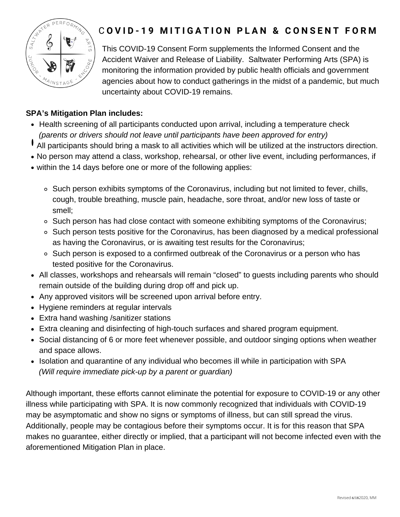

### **COVID-19 MITIGATION PLAN & CONSENT FORM**

This COVID-19 Consent Form supplements the Informed Consent and the Accident Waiver and Release of Liability. Saltwater Performing Arts (SPA) is monitoring the information provided by public health officials and government agencies about how to conduct gatherings in the midst of a pandemic, but much uncertainty about COVID-19 remains.

#### **SPA's Mitigation Plan includes:**

- Health screening of all participants conducted upon arrival, including a temperature check *(parents or drivers should not leave until participants have been approved for entry)*
- All participants should bring a mask to all activities which will be utilized at the instructors direction.
- No person may attend a class, workshop, rehearsal, or other live event, including performances, if
- within the 14 days before one or more of the following applies:
	- o Such person exhibits symptoms of the Coronavirus, including but not limited to fever, chills, cough, trouble breathing, muscle pain, headache, sore throat, and/or new loss of taste or smell;
	- o Such person has had close contact with someone exhibiting symptoms of the Coronavirus;
	- $\circ$  Such person tests positive for the Coronavirus, has been diagnosed by a medical professional as having the Coronavirus, or is awaiting test results for the Coronavirus;
	- o Such person is exposed to a confirmed outbreak of the Coronavirus or a person who has tested positive for the Coronavirus.
- All classes, workshops and rehearsals will remain "closed" to guests including parents who should remain outside of the building during drop off and pick up.
- Any approved visitors will be screened upon arrival before entry.
- Hygiene reminders at regular intervals
- Extra hand washing /sanitizer stations
- Extra cleaning and disinfecting of high-touch surfaces and shared program equipment.
- Social distancing of 6 or more feet whenever possible, and outdoor singing options when weather and space allows.
- Isolation and quarantine of any individual who becomes ill while in participation with SPA  *(Will require immediate pick-up by a parent or guardian)*

Although important, these efforts cannot eliminate the potential for exposure to COVID-19 or any other illness while participating with SPA. It is now commonly recognized that individuals with COVID-19 may be asymptomatic and show no signs or symptoms of illness, but can still spread the virus. Additionally, people may be contagious before their symptoms occur. It is for this reason that SPA makes no guarantee, either directly or implied, that a participant will not become infected even with the aforementioned Mitigation Plan in place.